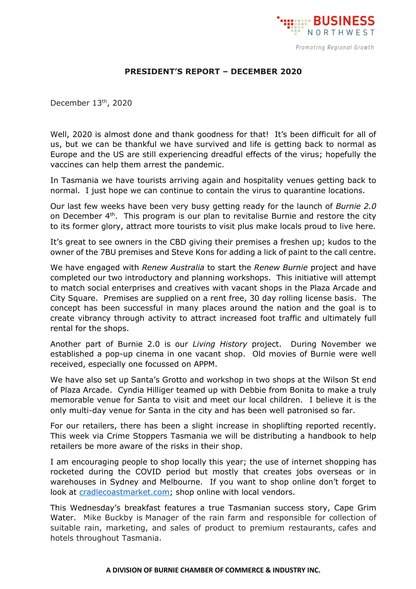

## **PRESIDENT'S REPORT – DECEMBER 2020**

December 13 th, 2020

Well, 2020 is almost done and thank goodness for that! It's been difficult for all of us, but we can be thankful we have survived and life is getting back to normal as Europe and the US are still experiencing dreadful effects of the virus; hopefully the vaccines can help them arrest the pandemic.

In Tasmania we have tourists arriving again and hospitality venues getting back to normal. I just hope we can continue to contain the virus to quarantine locations.

Our last few weeks have been very busy getting ready for the launch of *Burnie 2.0* on December  $4<sup>th</sup>$ . This program is our plan to revitalise Burnie and restore the city to its former glory, attract more tourists to visit plus make locals proud to live here.

It's great to see owners in the CBD giving their premises a freshen up; kudos to the owner of the 7BU premises and Steve Kons for adding a lick of paint to the call centre.

We have engaged with *Renew Australia* to start the *Renew Burnie* project and have completed our two introductory and planning workshops. This initiative will attempt to match social enterprises and creatives with vacant shops in the Plaza Arcade and City Square. Premises are supplied on a rent free, 30 day rolling license basis. The concept has been successful in many places around the nation and the goal is to create vibrancy through activity to attract increased foot traffic and ultimately full rental for the shops.

Another part of Burnie 2.0 is our *Living History* project. During November we established a pop-up cinema in one vacant shop. Old movies of Burnie were well received, especially one focussed on APPM.

We have also set up Santa's Grotto and workshop in two shops at the Wilson St end of Plaza Arcade. Cyndia Hilliger teamed up with Debbie from Bonita to make a truly memorable venue for Santa to visit and meet our local children. I believe it is the only multi-day venue for Santa in the city and has been well patronised so far.

For our retailers, there has been a slight increase in shoplifting reported recently. This week via Crime Stoppers Tasmania we will be distributing a handbook to help retailers be more aware of the risks in their shop.

I am encouraging people to shop locally this year; the use of internet shopping has rocketed during the COVID period but mostly that creates jobs overseas or in warehouses in Sydney and Melbourne. If you want to shop online don't forget to look at [cradlecoastmarket.com;](http://www.cradlecoastmarket.com/) shop online with local vendors.

This Wednesday's breakfast features a true Tasmanian success story, Cape Grim Water. Mike Buckby is Manager of the rain farm and responsible for collection of suitable rain, marketing, and sales of product to premium restaurants, cafes and hotels throughout Tasmania.